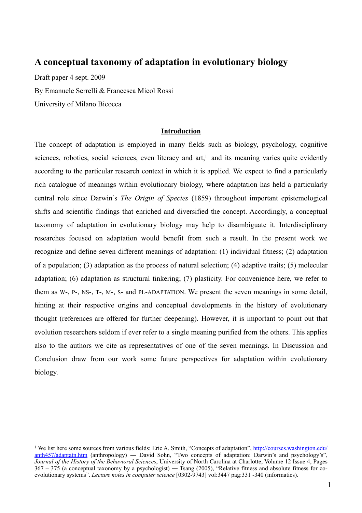# **A conceptual taxonomy of adaptation in evolutionary biology**

Draft paper 4 sept. 2009 By Emanuele Serrelli & Francesca Micol Rossi University of Milano Bicocca

## **Introduction**

The concept of adaptation is employed in many fields such as biology, psychology, cognitive sciences, robotics, social sciences, even literacy and  $art<sub>i</sub><sup>1</sup>$  $art<sub>i</sub><sup>1</sup>$  $art<sub>i</sub><sup>1</sup>$  and its meaning varies quite evidently according to the particular research context in which it is applied. We expect to find a particularly rich catalogue of meanings within evolutionary biology, where adaptation has held a particularly central role since Darwin's *The Origin of Species* (1859) throughout important epistemological shifts and scientific findings that enriched and diversified the concept. Accordingly, a conceptual taxonomy of adaptation in evolutionary biology may help to disambiguate it. Interdisciplinary researches focused on adaptation would benefit from such a result. In the present work we recognize and define seven different meanings of adaptation: (1) individual fitness; (2) adaptation of a population; (3) adaptation as the process of natural selection; (4) adaptive traits; (5) molecular adaptation; (6) adaptation as structural tinkering; (7) plasticity. For convenience here, we refer to them as W-, P-, NS-, T-, M-, S- and PL-ADAPTATION. We present the seven meanings in some detail, hinting at their respective origins and conceptual developments in the history of evolutionary thought (references are offered for further deepening). However, it is important to point out that evolution researchers seldom if ever refer to a single meaning purified from the others. This applies also to the authors we cite as representatives of one of the seven meanings. In Discussion and Conclusion draw from our work some future perspectives for adaptation within evolutionary biology.

<span id="page-0-0"></span><sup>&</sup>lt;sup>1</sup> We list here some sources from various fields: Eric A. Smith, "Concepts of adaptation", [http://courses.washington.edu/](http://courses.washington.edu/anth457/adaptatn.htm) [anth457/adaptatn.htm](http://courses.washington.edu/anth457/adaptatn.htm) (anthropology) — David Sohn, "Two concepts of adaptation: Darwin's and psychology's", *Journal of the History of the Behavioral Sciences*, University of North Carolina at Charlotte, Volume 12 Issue 4, Pages 367 – 375 (a conceptual taxonomy by a psychologist) ― Tsang (2005), "Relative fitness and absolute fitness for coevolutionary systems". *Lecture notes in computer science* [0302-9743] vol:3447 pag:331 -340 (informatics).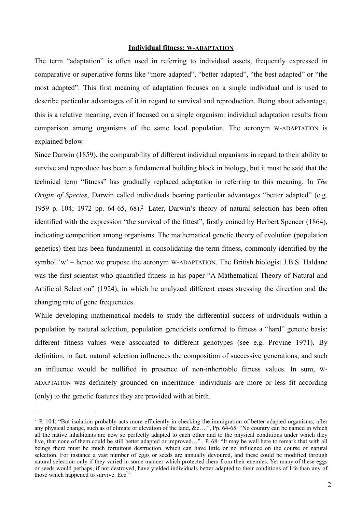#### **Individual fitness: W-ADAPTATION**

The term "adaptation" is often used in referring to individual assets, frequently expressed in comparative or superlative forms like "more adapted", "better adapted", "the best adapted" or "the most adapted". This first meaning of adaptation focuses on a single individual and is used to describe particular advantages of it in regard to survival and reproduction. Being about advantage, this is a relative meaning, even if focused on a single organism: individual adaptation results from comparison among organisms of the same local population. The acronym W-ADAPTATION is explained below.

Since Darwin (1859), the comparability of different individual organisms in regard to their ability to survive and reproduce has been a fundamental building block in biology, but it must be said that the technical term "fitness" has gradually replaced adaptation in referring to this meaning. In *The Origin of Species*, Darwin called individuals bearing particular advantages "better adapted" (e.g. 1959 p. 104; 197[2](#page-1-0) pp. 64-65, 68).<sup>2</sup> Later, Darwin's theory of natural selection has been often identified with the expression "the survival of the fittest", firstly coined by Herbert Spencer (1864), indicating competition among organisms. The mathematical genetic theory of evolution (population genetics) then has been fundamental in consolidating the term fitness, commonly identified by the symbol 'w' – hence we propose the acronym W-ADAPTATION. The British biologist J.B.S. Haldane was the first scientist who quantified fitness in his paper "A Mathematical Theory of Natural and Artificial Selection" (1924), in which he analyzed different cases stressing the direction and the changing rate of gene frequencies.

While developing mathematical models to study the differential success of individuals within a population by natural selection, population geneticists conferred to fitness a "hard" genetic basis: different fitness values were associated to different genotypes (see e.g. Provine 1971). By definition, in fact, natural selection influences the composition of successive generations, and such an influence would be nullified in presence of non-inheritable fitness values. In sum, W-ADAPTATION was definitely grounded on inheritance: individuals are more or less fit according (only) to the genetic features they are provided with at birth.

<span id="page-1-0"></span><sup>&</sup>lt;sup>2</sup> P. 104: "But isolation probably acts more efficiently in checking the immigration of better adapted organisms, after any physical change, such as of climate or elevation of the land, &c….", Pp. 64-65: "No country can be named in which all the native inhabitants are now so perfectly adapted to each other and to the physical conditions under which they live, that none of them could be still better adapted or improved…" , P. 68: "It may be well here to remark that with all beings there must be much fortuitous destruction, which can have little or no influence on the course of natural selection. For instance a vast number of eggs or seeds are annually devoured, and these could be modified through natural selection only if they varied in some manner which protected them from their enemies. Yet many of these eggs or seeds would perhaps, if not destroyed, have yielded individuals better adapted to their conditions of life than any of those which happened to survive. Ecc."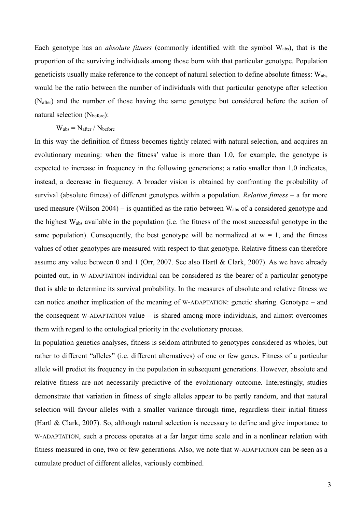Each genotype has an *absolute fitness* (commonly identified with the symbol Wabs), that is the proportion of the surviving individuals among those born with that particular genotype. Population geneticists usually make reference to the concept of natural selection to define absolute fitness: Wabs would be the ratio between the number of individuals with that particular genotype after selection (Nafter) and the number of those having the same genotype but considered before the action of natural selection (N<sub>before</sub>):

### $W_{\text{abs}} = N_{\text{after}} / N_{\text{before}}$

In this way the definition of fitness becomes tightly related with natural selection, and acquires an evolutionary meaning: when the fitness' value is more than 1.0, for example, the genotype is expected to increase in frequency in the following generations; a ratio smaller than 1.0 indicates, instead, a decrease in frequency. A broader vision is obtained by confronting the probability of survival (absolute fitness) of different genotypes within a population. *Relative fitness* – a far more used measure (Wilson 2004) – is quantified as the ratio between  $W_{\text{abs}}$  of a considered genotype and the highest Wabs available in the population (i.e. the fitness of the most successful genotype in the same population). Consequently, the best genotype will be normalized at  $w = 1$ , and the fitness values of other genotypes are measured with respect to that genotype. Relative fitness can therefore assume any value between 0 and 1 (Orr, 2007. See also Hartl & Clark, 2007). As we have already pointed out, in W-ADAPTATION individual can be considered as the bearer of a particular genotype that is able to determine its survival probability. In the measures of absolute and relative fitness we can notice another implication of the meaning of W-ADAPTATION: genetic sharing. Genotype – and the consequent W-ADAPTATION value – is shared among more individuals, and almost overcomes them with regard to the ontological priority in the evolutionary process.

In population genetics analyses, fitness is seldom attributed to genotypes considered as wholes, but rather to different "alleles" (i.e. different alternatives) of one or few genes. Fitness of a particular allele will predict its frequency in the population in subsequent generations. However, absolute and relative fitness are not necessarily predictive of the evolutionary outcome. Interestingly, studies demonstrate that variation in fitness of single alleles appear to be partly random, and that natural selection will favour alleles with a smaller variance through time, regardless their initial fitness (Hartl & Clark, 2007). So, although natural selection is necessary to define and give importance to W-ADAPTATION, such a process operates at a far larger time scale and in a nonlinear relation with fitness measured in one, two or few generations. Also, we note that W-ADAPTATION can be seen as a cumulate product of different alleles, variously combined.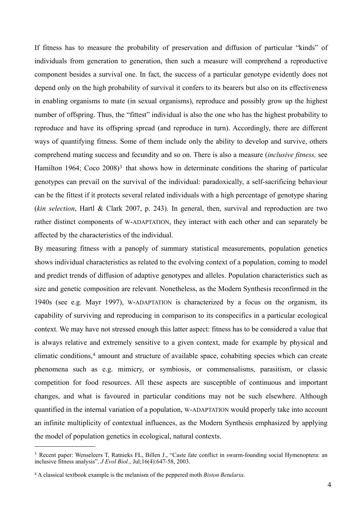If fitness has to measure the probability of preservation and diffusion of particular "kinds" of individuals from generation to generation, then such a measure will comprehend a reproductive component besides a survival one. In fact, the success of a particular genotype evidently does not depend only on the high probability of survival it confers to its bearers but also on its effectiveness in enabling organisms to mate (in sexual organisms), reproduce and possibly grow up the highest number of offspring. Thus, the "fittest" individual is also the one who has the highest probability to reproduce and have its offspring spread (and reproduce in turn). Accordingly, there are different ways of quantifying fitness. Some of them include only the ability to develop and survive, others comprehend mating success and fecundity and so on. There is also a measure (*inclusive fitness,* see Hamilton 1964; Coco 2008)<sup>[3](#page-3-0)</sup> that shows how in determinate conditions the sharing of particular genotypes can prevail on the survival of the individual: paradoxically, a self-sacrificing behaviour can be the fittest if it protects several related individuals with a high percentage of genotype sharing (*kin selection*, Hartl & Clark 2007, p. 243). In general, then, survival and reproduction are two rather distinct components of W-ADAPTATION, they interact with each other and can separately be affected by the characteristics of the individual.

By measuring fitness with a panoply of summary statistical measurements, population genetics shows individual characteristics as related to the evolving context of a population, coming to model and predict trends of diffusion of adaptive genotypes and alleles. Population characteristics such as size and genetic composition are relevant. Nonetheless, as the Modern Synthesis reconfirmed in the 1940s (see e.g. Mayr 1997), W-ADAPTATION is characterized by a focus on the organism, its capability of surviving and reproducing in comparison to its conspecifics in a particular ecological context. We may have not stressed enough this latter aspect: fitness has to be considered a value that is always relative and extremely sensitive to a given context, made for example by physical and climatic conditions,<sup>[4](#page-3-1)</sup> amount and structure of available space, cohabiting species which can create phenomena such as e.g. mimicry, or symbiosis, or commensalisms, parasitism, or classic competition for food resources. All these aspects are susceptible of continuous and important changes, and what is favoured in particular conditions may not be such elsewhere. Although quantified in the internal variation of a population, W-ADAPTATION would properly take into account an infinite multiplicity of contextual influences, as the Modern Synthesis emphasized by applying the model of population genetics in ecological, natural contexts.

<span id="page-3-0"></span><sup>3</sup> Recent paper: [Wenseleers T](http://www.ncbi.nlm.nih.gov/sites/entrez?Db=pubmed&Cmd=Search&Term=%22Wenseleers%20T%22%5BAuthor%5D&itool=EntrezSystem2.PEntrez.Pubmed.Pubmed_ResultsPanel.Pubmed_DiscoveryPanel.Pubmed_RVAbstractPlus), [Ratnieks FL](http://www.ncbi.nlm.nih.gov/sites/entrez?Db=pubmed&Cmd=Search&Term=%22Ratnieks%20FL%22%5BAuthor%5D&itool=EntrezSystem2.PEntrez.Pubmed.Pubmed_ResultsPanel.Pubmed_DiscoveryPanel.Pubmed_RVAbstractPlus), [Billen J.](http://www.ncbi.nlm.nih.gov/sites/entrez?Db=pubmed&Cmd=Search&Term=%22Billen%20J%22%5BAuthor%5D&itool=EntrezSystem2.PEntrez.Pubmed.Pubmed_ResultsPanel.Pubmed_DiscoveryPanel.Pubmed_RVAbstractPlus), "Caste fate conflict in swarm-founding social Hymenoptera: an inclusive fitness analysis"*, J Evol Biol.*, Jul;16(4):647-58, 2003.

<span id="page-3-1"></span><sup>4</sup> A classical textbook example is the melanism of the peppered moth *Biston Betularia*.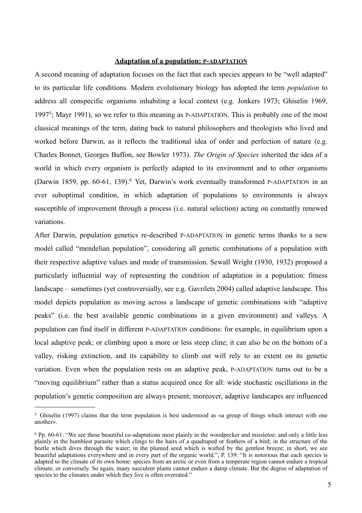#### **Adaptation of a population: P-ADAPTATION**

A second meaning of adaptation focuses on the fact that each species appears to be "well adapted" to its particular life conditions. Modern evolutionary biology has adopted the term *population* to address all conspecific organisms inhabiting a local context (e.g. Jonkers 1973; Ghiselin 1969, 1997[5](#page-4-0) ; Mayr 1991), so we refer to this meaning as P-ADAPTATION. This is probably one of the most classical meanings of the term, dating back to natural philosophers and theologists who lived and worked before Darwin, as it reflects the traditional idea of order and perfection of nature (e.g. Charles Bonnet, Georges Buffon, see Bowler 1973). *The Origin of Species* inherited the idea of a world in which every organism is perfectly adapted to its environment and to other organisms (Darwin 1859, pp. [6](#page-4-1)0-61, 139).<sup>6</sup> Yet, Darwin's work eventually transformed P-ADAPTATION in an ever suboptimal condition, in which adaptation of populations to environments is always susceptible of improvement through a process (i.e. natural selection) acting on constantly renewed variations.

After Darwin, population genetics re-described P-ADAPTATION in genetic terms thanks to a new model called "mendelian population", considering all genetic combinations of a population with their respective adaptive values and mode of transmission. Sewall Wright (1930, 1932) proposed a particularly influential way of representing the condition of adaptation in a population: fitness landscape – sometimes (yet controversially, see e.g. Gavrilets 2004) called adaptive landscape. This model depicts population as moving across a landscape of genetic combinations with "adaptive peaks" (i.e. the best available genetic combinations in a given environment) and valleys. A population can find itself in different P-ADAPTATION conditions: for example, in equilibrium upon a local adaptive peak; or climbing upon a more or less steep cline; it can also be on the bottom of a valley, risking extinction, and its capability to climb out will rely to an extent on its genetic variation. Even when the population rests on an adaptive peak, P-ADAPTATION turns out to be a "moving equilibrium" rather than a status acquired once for all: wide stochastic oscillations in the population's genetic composition are always present; moreover, adaptive landscapes are influenced

<span id="page-4-0"></span><sup>5</sup> Ghiselin (1997) claims that the term population is best understood as «a group of things which interact with one another».

<span id="page-4-1"></span><sup>6</sup> Pp. 60-61: "We see these beautiful co-adaptations most plainly in the woodpecker and missletoe; and only a little less plainly in the humblest parasite which clings to the hairs of a quadruped or feathers of a bird; in the structure of the beetle which dives through the water; in the plumed seed which is wafted by the gentlest breeze; in short, we see beautiful adaptations everywhere and in every part of the organic world.", P. 139: "It is notorious that each species is adapted to the climate of its own home: species from an arctic or even from a temperate region cannot endure a tropical climate, or conversely. So again, many succulent plants cannot endure a damp climate. But the degree of adaptation of species to the climates under which they live is often overrated."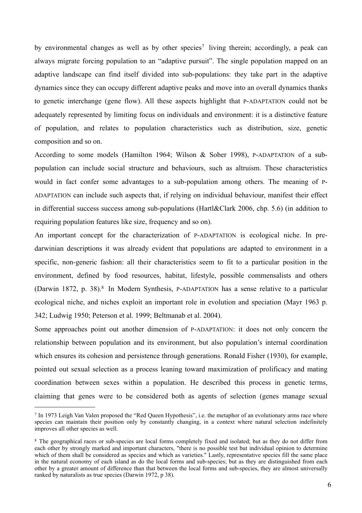by environmental changes as well as by other species<sup>[7](#page-5-0)</sup> living therein; accordingly, a peak can always migrate forcing population to an "adaptive pursuit". The single population mapped on an adaptive landscape can find itself divided into sub-populations: they take part in the adaptive dynamics since they can occupy different adaptive peaks and move into an overall dynamics thanks to genetic interchange (gene flow). All these aspects highlight that P-ADAPTATION could not be adequately represented by limiting focus on individuals and environment: it is a distinctive feature of population, and relates to population characteristics such as distribution, size, genetic composition and so on.

According to some models (Hamilton 1964; Wilson & Sober 1998), P-ADAPTATION of a subpopulation can include social structure and behaviours, such as altruism. These characteristics would in fact confer some advantages to a sub-population among others. The meaning of P-ADAPTATION can include such aspects that, if relying on individual behaviour, manifest their effect in differential success success among sub-populations (Hartl&Clark 2006, chp. 5.6) (in addition to requiring population features like size, frequency and so on).

An important concept for the characterization of P-ADAPTATION is ecological niche. In predarwinian descriptions it was already evident that populations are adapted to environment in a specific, non-generic fashion: all their characteristics seem to fit to a particular position in the environment, defined by food resources, habitat, lifestyle, possible commensalists and others (Darwin 1[8](#page-5-1)72, p. 38).<sup>8</sup> In Modern Synthesis, P-ADAPTATION has a sense relative to a particular ecological niche, and niches exploit an important role in evolution and speciation (Mayr 1963 p. 342; Ludwig 1950; Peterson et al. 1999; Beltmanab et al. 2004).

Some approaches point out another dimension of P-ADAPTATION: it does not only concern the relationship between population and its environment, but also population's internal coordination which ensures its cohesion and persistence through generations. Ronald Fisher (1930), for example, pointed out sexual selection as a process leaning toward maximization of prolificacy and mating coordination between sexes within a population. He described this process in genetic terms, claiming that genes were to be considered both as agents of selection (genes manage sexual

<span id="page-5-0"></span><sup>7</sup> In 1973 Leigh Van Valen proposed the "Red Queen Hypothesis", i.e. the metaphor of an evolutionary arms race where species can maintain their position only by constantly changing, in a context where natural selection indefinitely improves all other species as well.

<span id="page-5-1"></span><sup>8</sup> The geographical races or sub-species are local forms completely fixed and isolated; but as they do not differ from each other by strongly marked and important characters, "there is no possible test but individual opinion to determine which of them shall be considered as species and which as varieties." Lastly, representative species fill the same place in the natural economy of each island as do the local forms and sub-species; but as they are distinguished from each other by a greater amount of difference than that between the local forms and sub-species, they are almost universally ranked by naturalists as true species (Darwin 1972, p 38).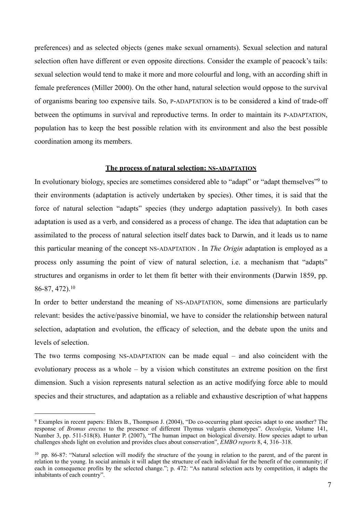preferences) and as selected objects (genes make sexual ornaments). Sexual selection and natural selection often have different or even opposite directions. Consider the example of peacock's tails: sexual selection would tend to make it more and more colourful and long, with an according shift in female preferences (Miller 2000). On the other hand, natural selection would oppose to the survival of organisms bearing too expensive tails. So, P-ADAPTATION is to be considered a kind of trade-off between the optimums in survival and reproductive terms. In order to maintain its P-ADAPTATION, population has to keep the best possible relation with its environment and also the best possible coordination among its members.

#### **The process of natural selection: NS-ADAPTATION**

In evolutionary biology, species are sometimes considered able to "adapt" or "adapt themselves"<sup>[9](#page-6-0)</sup> to their environments (adaptation is actively undertaken by species). Other times, it is said that the force of natural selection "adapts" species (they undergo adaptation passively). In both cases adaptation is used as a verb, and considered as a process of change. The idea that adaptation can be assimilated to the process of natural selection itself dates back to Darwin, and it leads us to name this particular meaning of the concept NS-ADAPTATION . In *The Origin* adaptation is employed as a process only assuming the point of view of natural selection, i.e. a mechanism that "adapts" structures and organisms in order to let them fit better with their environments (Darwin 1859, pp. 86-87, 472).[10](#page-6-1)

In order to better understand the meaning of NS-ADAPTATION, some dimensions are particularly relevant: besides the active/passive binomial, we have to consider the relationship between natural selection, adaptation and evolution, the efficacy of selection, and the debate upon the units and levels of selection.

The two terms composing NS-ADAPTATION can be made equal – and also coincident with the evolutionary process as a whole – by a vision which constitutes an extreme position on the first dimension. Such a vision represents natural selection as an active modifying force able to mould species and their structures, and adaptation as a reliable and exhaustive description of what happens

<span id="page-6-0"></span><sup>9</sup> Examples in recent papers: Ehlers B., Thompson J. (2004), "Do co-occurring plant species adapt to one another? The response of *Bromus erectus* to the presence of different Thymus vulgaris chemotypes". *Oecologia*, Volume 141, Number 3, pp. 511-518(8). Hunter P. (2007), "The human impact on biological diversity. How species adapt to urban challenges sheds light on evolution and provides clues about conservation", *EMBO reports* 8, 4, 316–318.

<span id="page-6-1"></span> $10$  pp. 86-87: "Natural selection will modify the structure of the young in relation to the parent, and of the parent in relation to the young. In social animals it will adapt the structure of each individual for the benefit of the community; if each in consequence profits by the selected change."; p. 472: "As natural selection acts by competition, it adapts the inhabitants of each country".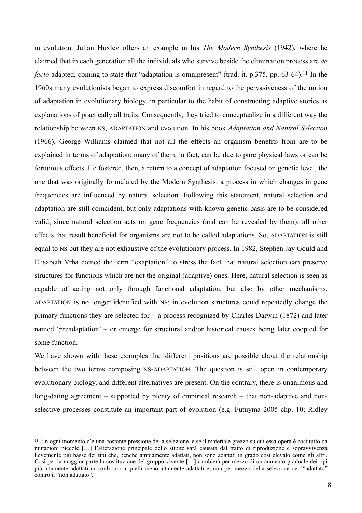in evolution. Julian Huxley offers an example in his *The Modern Synthesis* (1942), where he claimed that in each generation all the individuals who survive beside the elimination process are *de facto* adapted, coming to state that "adaptation is omnipresent" (trad. it. p.375, pp. 63-64).<sup>[11](#page-7-0)</sup> In the 1960s many evolutionists began to express discomfort in regard to the pervasiveness of the notion of adaptation in evolutionary biology, in particular to the habit of constructing adaptive stories as explanations of practically all traits. Consequently, they tried to conceptualize in a different way the relationship between NS, ADAPTATION and evolution. In his book *Adaptation and Natural Selection* (1966), George Williams claimed that not all the effects an organism benefits from are to be explained in terms of adaptation: many of them, in fact, can be due to pure physical laws or can be fortuitous effects. He fostered, then, a return to a concept of adaptation focused on genetic level, the one that was originally formulated by the Modern Synthesis: a process in which changes in gene frequencies are influenced by natural selection. Following this statement, natural selection and adaptation are still coincident, but only adaptations with known genetic basis are to be considered valid, since natural selection acts on gene frequencies (and can be revealed by them); all other effects that result beneficial for organisms are not to be called adaptations. So, ADAPTATION is still equal to NS but they are not exhaustive of the evolutionary process. In 1982, Stephen Jay Gould and Elisabeth Vrba coined the term "exaptation" to stress the fact that natural selection can preserve structures for functions which are not the original (adaptive) ones. Here, natural selection is seen as capable of acting not only through functional adaptation, but also by other mechanisms. ADAPTATION is no longer identified with NS: in evolution structures could repeatedly change the primary functions they are selected for – a process recognized by Charles Darwin (1872) and later named 'preadaptation' – or emerge for structural and/or historical causes being later coopted for some function.

We have shown with these examples that different positions are possible about the relationship between the two terms composing NS-ADAPTATION. The question is still open in contemporary evolutionary biology, and different alternatives are present. On the contrary, there is unanimous and long-dating agreement – supported by plenty of empirical research – that non-adaptive and nonselective processes constitute an important part of evolution (e.g. Futuyma 2005 chp. 10; Ridley

<span id="page-7-0"></span><sup>11</sup> "In ogni momento c'è una costante pressione della selezione, e se il materiale grezzo su cui essa opera è costituito da mutazioni piccole […] l'alterazione principale dello stipite sarà causata dal tratto di riproduzione e sopravvivenza lievemente più basse dei tipi che, benché ampiamente adattati, non sono adattati in grado così elevato come gli altri. Così per la maggior parte la costituzione del gruppo vivente […] cambierà per mezzo di un aumento graduale dei tipi più altamente adattati in confronto a quelli meno altamente adattati e, non per mezzo della selezione dell'"adattato" contro il "non adattato".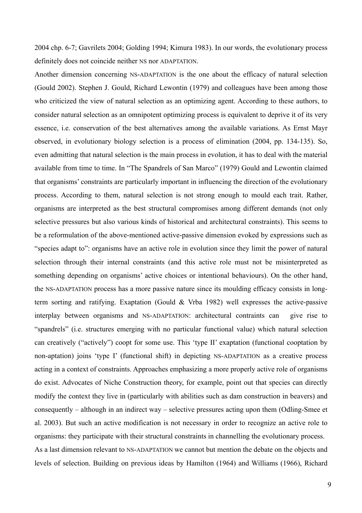2004 chp. 6-7; Gavrilets 2004; Golding 1994; Kimura 1983). In our words, the evolutionary process definitely does not coincide neither NS nor ADAPTATION.

Another dimension concerning NS-ADAPTATION is the one about the efficacy of natural selection (Gould 2002). Stephen J. Gould, Richard Lewontin (1979) and colleagues have been among those who criticized the view of natural selection as an optimizing agent. According to these authors, to consider natural selection as an omnipotent optimizing process is equivalent to deprive it of its very essence, i.e. conservation of the best alternatives among the available variations. As Ernst Mayr observed, in evolutionary biology selection is a process of elimination (2004, pp. 134-135). So, even admitting that natural selection is the main process in evolution, it has to deal with the material available from time to time. In "The Spandrels of San Marco" (1979) Gould and Lewontin claimed that organisms' constraints are particularly important in influencing the direction of the evolutionary process. According to them, natural selection is not strong enough to mould each trait. Rather, organisms are interpreted as the best structural compromises among different demands (not only selective pressures but also various kinds of historical and architectural constraints). This seems to be a reformulation of the above-mentioned active-passive dimension evoked by expressions such as "species adapt to": organisms have an active role in evolution since they limit the power of natural selection through their internal constraints (and this active role must not be misinterpreted as something depending on organisms' active choices or intentional behaviours). On the other hand, the NS-ADAPTATION process has a more passive nature since its moulding efficacy consists in longterm sorting and ratifying. Exaptation (Gould & Vrba 1982) well expresses the active-passive interplay between organisms and NS-ADAPTATION: architectural contraints can give rise to "spandrels" (i.e. structures emerging with no particular functional value) which natural selection can creatively ("actively") coopt for some use. This 'type II' exaptation (functional cooptation by non-aptation) joins 'type I' (functional shift) in depicting NS-ADAPTATION as a creative process acting in a context of constraints. Approaches emphasizing a more properly active role of organisms do exist. Advocates of Niche Construction theory, for example, point out that species can directly modify the context they live in (particularly with abilities such as dam construction in beavers) and consequently – although in an indirect way – selective pressures acting upon them (Odling-Smee et al. 2003). But such an active modification is not necessary in order to recognize an active role to organisms: they participate with their structural constraints in channelling the evolutionary process. As a last dimension relevant to NS-ADAPTATION we cannot but mention the debate on the objects and levels of selection. Building on previous ideas by Hamilton (1964) and Williams (1966), Richard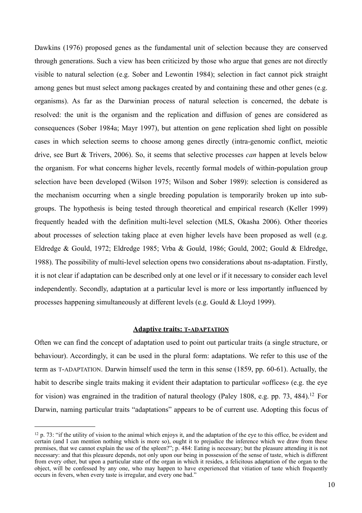Dawkins (1976) proposed genes as the fundamental unit of selection because they are conserved through generations. Such a view has been criticized by those who argue that genes are not directly visible to natural selection (e.g. Sober and Lewontin 1984); selection in fact cannot pick straight among genes but must select among packages created by and containing these and other genes (e.g. organisms). As far as the Darwinian process of natural selection is concerned, the debate is resolved: the unit is the organism and the replication and diffusion of genes are considered as consequences (Sober 1984a; Mayr 1997), but attention on gene replication shed light on possible cases in which selection seems to choose among genes directly (intra-genomic conflict, meiotic drive, see Burt & Trivers, 2006). So, it seems that selective processes *can* happen at levels below the organism. For what concerns higher levels, recently formal models of within-population group selection have been developed (Wilson 1975; Wilson and Sober 1989): selection is considered as the mechanism occurring when a single breeding population is temporarily broken up into subgroups. The hypothesis is being tested through theoretical and empirical research (Keller 1999) frequently headed with the definition multi-level selection (MLS, Okasha 2006). Other theories about processes of selection taking place at even higher levels have been proposed as well (e.g. Eldredge & Gould, 1972; Eldredge 1985; Vrba & Gould, 1986; Gould, 2002; Gould & Eldredge, 1988). The possibility of multi-level selection opens two considerations about ns-adaptation. Firstly, it is not clear if adaptation can be described only at one level or if it necessary to consider each level independently. Secondly, adaptation at a particular level is more or less importantly influenced by processes happening simultaneously at different levels (e.g. Gould & Lloyd 1999).

#### **Adaptive traits: T-ADAPTATION**

Often we can find the concept of adaptation used to point out particular traits (a single structure, or behaviour). Accordingly, it can be used in the plural form: adaptations. We refer to this use of the term as T-ADAPTATION. Darwin himself used the term in this sense (1859, pp. 60-61). Actually, the habit to describe single traits making it evident their adaptation to particular «offices» (e.g. the eye for vision) was engrained in the tradition of natural theology (Paley 1808, e.g. pp. 73, 484).<sup>[12](#page-9-0)</sup> For Darwin, naming particular traits "adaptations" appears to be of current use. Adopting this focus of

<span id="page-9-0"></span> $12$  p. 73: "if the utility of vision to the animal which enjoys it, and the adaptation of the eye to this office, be evident and certain (and I can mention nothing which is more so), ought it to prejudice the inference which we draw from these premises, that we cannot explain the use of the spleen?"; p. 484: Eating is necessary; but the pleasure attending it is not necessary: and that this pleasure depends, not only upon our being in possession of the sense of taste, which is different from every other, but upon a particular state of the organ in which it resides, a felicitous adaptation of the organ to the object, will be confessed by any one, who may happen to have experienced that vitiation of taste which frequently occurs in fevers, when every taste is irregular, and every one bad."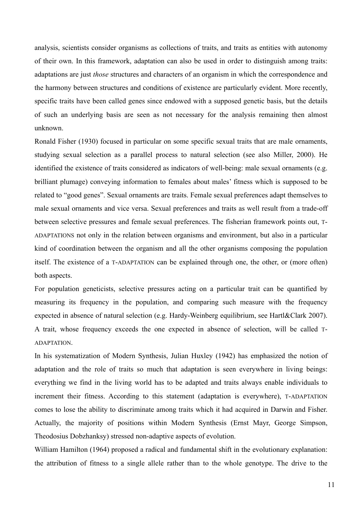analysis, scientists consider organisms as collections of traits, and traits as entities with autonomy of their own. In this framework, adaptation can also be used in order to distinguish among traits: adaptations are just *those* structures and characters of an organism in which the correspondence and the harmony between structures and conditions of existence are particularly evident. More recently, specific traits have been called genes since endowed with a supposed genetic basis, but the details of such an underlying basis are seen as not necessary for the analysis remaining then almost unknown.

Ronald Fisher (1930) focused in particular on some specific sexual traits that are male ornaments, studying sexual selection as a parallel process to natural selection (see also Miller, 2000). He identified the existence of traits considered as indicators of well-being: male sexual ornaments (e.g. brilliant plumage) conveying information to females about males' fitness which is supposed to be related to "good genes". Sexual ornaments are traits. Female sexual preferences adapt themselves to male sexual ornaments and vice versa. Sexual preferences and traits as well result from a trade-off between selective pressures and female sexual preferences. The fisherian framework points out, T-ADAPTATIONS not only in the relation between organisms and environment, but also in a particular kind of coordination between the organism and all the other organisms composing the population itself. The existence of a T-ADAPTATION can be explained through one, the other, or (more often) both aspects.

For population geneticists, selective pressures acting on a particular trait can be quantified by measuring its frequency in the population, and comparing such measure with the frequency expected in absence of natural selection (e.g. Hardy-Weinberg equilibrium, see Hartl&Clark 2007). A trait, whose frequency exceeds the one expected in absence of selection, will be called T-ADAPTATION.

In his systematization of Modern Synthesis, Julian Huxley (1942) has emphasized the notion of adaptation and the role of traits so much that adaptation is seen everywhere in living beings: everything we find in the living world has to be adapted and traits always enable individuals to increment their fitness. According to this statement (adaptation is everywhere), T-ADAPTATION comes to lose the ability to discriminate among traits which it had acquired in Darwin and Fisher. Actually, the majority of positions within Modern Synthesis (Ernst Mayr, George Simpson, Theodosius Dobzhanksy) stressed non-adaptive aspects of evolution.

William Hamilton (1964) proposed a radical and fundamental shift in the evolutionary explanation: the attribution of fitness to a single allele rather than to the whole genotype. The drive to the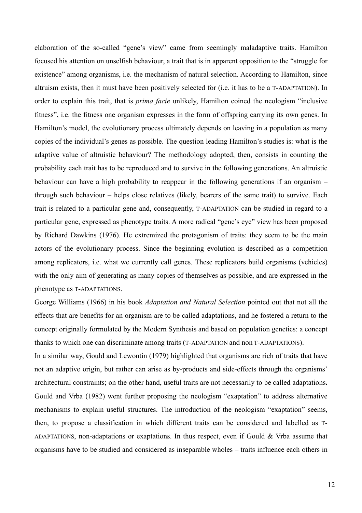elaboration of the so-called "gene's view" came from seemingly maladaptive traits. Hamilton focused his attention on unselfish behaviour, a trait that is in apparent opposition to the "struggle for existence" among organisms, i.e. the mechanism of natural selection. According to Hamilton, since altruism exists, then it must have been positively selected for (i.e. it has to be a T-ADAPTATION). In order to explain this trait, that is *prima facie* unlikely, Hamilton coined the neologism "inclusive fitness", i.e. the fitness one organism expresses in the form of offspring carrying its own genes. In Hamilton's model, the evolutionary process ultimately depends on leaving in a population as many copies of the individual's genes as possible. The question leading Hamilton's studies is: what is the adaptive value of altruistic behaviour? The methodology adopted, then, consists in counting the probability each trait has to be reproduced and to survive in the following generations. An altruistic behaviour can have a high probability to reappear in the following generations if an organism – through such behaviour – helps close relatives (likely, bearers of the same trait) to survive. Each trait is related to a particular gene and, consequently, T-ADAPTATION can be studied in regard to a particular gene, expressed as phenotype traits. A more radical "gene's eye" view has been proposed by Richard Dawkins (1976). He extremized the protagonism of traits: they seem to be the main actors of the evolutionary process. Since the beginning evolution is described as a competition among replicators, i.e. what we currently call genes. These replicators build organisms (vehicles) with the only aim of generating as many copies of themselves as possible, and are expressed in the phenotype as T-ADAPTATIONS.

George Williams (1966) in his book *Adaptation and Natural Selection* pointed out that not all the effects that are benefits for an organism are to be called adaptations, and he fostered a return to the concept originally formulated by the Modern Synthesis and based on population genetics: a concept thanks to which one can discriminate among traits (T-ADAPTATION and non T-ADAPTATIONS).

In a similar way, Gould and Lewontin (1979) highlighted that organisms are rich of traits that have not an adaptive origin, but rather can arise as by-products and side-effects through the organisms' architectural constraints; on the other hand, useful traits are not necessarily to be called adaptations**.**  Gould and Vrba (1982) went further proposing the neologism "exaptation" to address alternative mechanisms to explain useful structures. The introduction of the neologism "exaptation" seems, then, to propose a classification in which different traits can be considered and labelled as T-ADAPTATIONS, non-adaptations or exaptations. In thus respect, even if Gould & Vrba assume that organisms have to be studied and considered as inseparable wholes – traits influence each others in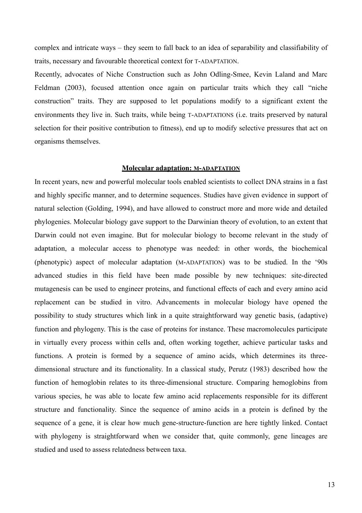complex and intricate ways – they seem to fall back to an idea of separability and classifiability of traits, necessary and favourable theoretical context for T-ADAPTATION.

Recently, advocates of Niche Construction such as John Odling-Smee, Kevin Laland and Marc Feldman (2003), focused attention once again on particular traits which they call "niche construction" traits. They are supposed to let populations modify to a significant extent the environments they live in. Such traits, while being T-ADAPTATIONS (i.e. traits preserved by natural selection for their positive contribution to fitness), end up to modify selective pressures that act on organisms themselves.

#### **Molecular adaptation: M-ADAPTATION**

In recent years, new and powerful molecular tools enabled scientists to collect DNA strains in a fast and highly specific manner, and to determine sequences. Studies have given evidence in support of natural selection (Golding, 1994), and have allowed to construct more and more wide and detailed phylogenies. Molecular biology gave support to the Darwinian theory of evolution, to an extent that Darwin could not even imagine. But for molecular biology to become relevant in the study of adaptation, a molecular access to phenotype was needed: in other words, the biochemical (phenotypic) aspect of molecular adaptation (M-ADAPTATION) was to be studied. In the '90s advanced studies in this field have been made possible by new techniques: site-directed mutagenesis can be used to engineer proteins, and functional effects of each and every amino acid replacement can be studied in vitro. Advancements in molecular biology have opened the possibility to study structures which link in a quite straightforward way genetic basis, (adaptive) function and phylogeny. This is the case of proteins for instance. These macromolecules participate in virtually every process within cells and, often working together, achieve particular tasks and functions. A protein is formed by a sequence of amino acids, which determines its threedimensional structure and its functionality. In a classical study, Perutz (1983) described how the function of hemoglobin relates to its three-dimensional structure. Comparing hemoglobins from various species, he was able to locate few amino acid replacements responsible for its different structure and functionality. Since the sequence of amino acids in a protein is defined by the sequence of a gene, it is clear how much gene-structure-function are here tightly linked. Contact with phylogeny is straightforward when we consider that, quite commonly, gene lineages are studied and used to assess relatedness between taxa.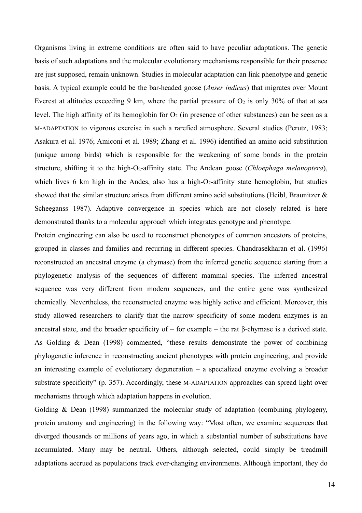Organisms living in extreme conditions are often said to have peculiar adaptations. The genetic basis of such adaptations and the molecular evolutionary mechanisms responsible for their presence are just supposed, remain unknown. Studies in molecular adaptation can link phenotype and genetic basis. A typical example could be the bar-headed goose (*Anser indicus*) that migrates over Mount Everest at altitudes exceeding 9 km, where the partial pressure of  $O_2$  is only 30% of that at sea level. The high affinity of its hemoglobin for  $O_2$  (in presence of other substances) can be seen as a M-ADAPTATION to vigorous exercise in such a rarefied atmosphere. Several studies (Perutz, 1983; Asakura et al. 1976; Amiconi et al. 1989; Zhang et al. 1996) identified an amino acid substitution (unique among birds) which is responsible for the weakening of some bonds in the protein structure, shifting it to the high-O<sub>2</sub>-affinity state. The Andean goose (*Chloephaga melanoptera*), which lives 6 km high in the Andes, also has a high- $O<sub>2</sub>$ -affinity state hemoglobin, but studies showed that the similar structure arises from different amino acid substitutions (Heibl, Braunitzer  $\&$ Scheeganss 1987). Adaptive convergence in species which are not closely related is here demonstrated thanks to a molecular approach which integrates genotype and phenotype.

Protein engineering can also be used to reconstruct phenotypes of common ancestors of proteins, grouped in classes and families and recurring in different species. Chandrasekharan et al. (1996) reconstructed an ancestral enzyme (a chymase) from the inferred genetic sequence starting from a phylogenetic analysis of the sequences of different mammal species. The inferred ancestral sequence was very different from modern sequences, and the entire gene was synthesized chemically. Nevertheless, the reconstructed enzyme was highly active and efficient. Moreover, this study allowed researchers to clarify that the narrow specificity of some modern enzymes is an ancestral state, and the broader specificity of – for example – the rat β-chymase is a derived state. As Golding & Dean (1998) commented, "these results demonstrate the power of combining phylogenetic inference in reconstructing ancient phenotypes with protein engineering, and provide an interesting example of evolutionary degeneration – a specialized enzyme evolving a broader substrate specificity" (p. 357). Accordingly, these M-ADAPTATION approaches can spread light over mechanisms through which adaptation happens in evolution.

Golding & Dean (1998) summarized the molecular study of adaptation (combining phylogeny, protein anatomy and engineering) in the following way: "Most often, we examine sequences that diverged thousands or millions of years ago, in which a substantial number of substitutions have accumulated. Many may be neutral. Others, although selected, could simply be treadmill adaptations accrued as populations track ever-changing environments. Although important, they do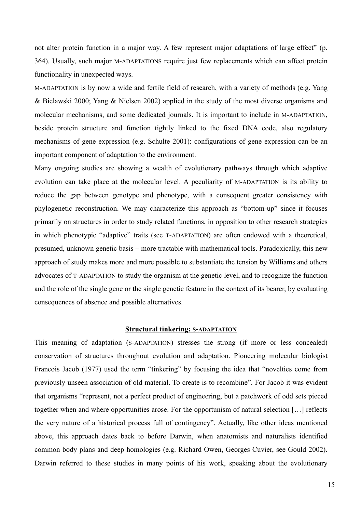not alter protein function in a major way. A few represent major adaptations of large effect" (p. 364). Usually, such major M-ADAPTATIONS require just few replacements which can affect protein functionality in unexpected ways.

M-ADAPTATION is by now a wide and fertile field of research, with a variety of methods (e.g. Yang & Bielawski 2000; Yang & Nielsen 2002) applied in the study of the most diverse organisms and molecular mechanisms, and some dedicated journals. It is important to include in M-ADAPTATION, beside protein structure and function tightly linked to the fixed DNA code, also regulatory mechanisms of gene expression (e.g. Schulte 2001): configurations of gene expression can be an important component of adaptation to the environment.

Many ongoing studies are showing a wealth of evolutionary pathways through which adaptive evolution can take place at the molecular level. A peculiarity of M-ADAPTATION is its ability to reduce the gap between genotype and phenotype, with a consequent greater consistency with phylogenetic reconstruction. We may characterize this approach as "bottom-up" since it focuses primarily on structures in order to study related functions, in opposition to other research strategies in which phenotypic "adaptive" traits (see T-ADAPTATION) are often endowed with a theoretical, presumed, unknown genetic basis – more tractable with mathematical tools. Paradoxically, this new approach of study makes more and more possible to substantiate the tension by Williams and others advocates of T-ADAPTATION to study the organism at the genetic level, and to recognize the function and the role of the single gene or the single genetic feature in the context of its bearer, by evaluating consequences of absence and possible alternatives.

#### **Structural tinkering: S-ADAPTATION**

This meaning of adaptation (S-ADAPTATION) stresses the strong (if more or less concealed) conservation of structures throughout evolution and adaptation. Pioneering molecular biologist Francois Jacob (1977) used the term "tinkering" by focusing the idea that "novelties come from previously unseen association of old material. To create is to recombine". For Jacob it was evident that organisms "represent, not a perfect product of engineering, but a patchwork of odd sets pieced together when and where opportunities arose. For the opportunism of natural selection […] reflects the very nature of a historical process full of contingency". Actually, like other ideas mentioned above, this approach dates back to before Darwin, when anatomists and naturalists identified common body plans and deep homologies (e.g. Richard Owen, Georges Cuvier, see Gould 2002). Darwin referred to these studies in many points of his work, speaking about the evolutionary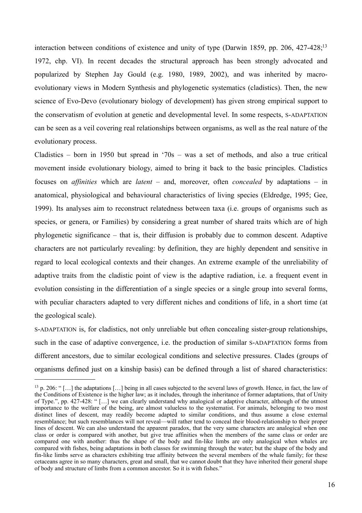interaction between conditions of existence and unity of type (Darwin 1859, pp. 206, 427-428;<sup>[13](#page-15-0)</sup>) 1972, chp. VI). In recent decades the structural approach has been strongly advocated and popularized by Stephen Jay Gould (e.g. 1980, 1989, 2002), and was inherited by macroevolutionary views in Modern Synthesis and phylogenetic systematics (cladistics). Then, the new science of Evo-Devo (evolutionary biology of development) has given strong empirical support to the conservatism of evolution at genetic and developmental level. In some respects, S-ADAPTATION can be seen as a veil covering real relationships between organisms, as well as the real nature of the evolutionary process.

Cladistics – born in 1950 but spread in '70s – was a set of methods, and also a true critical movement inside evolutionary biology, aimed to bring it back to the basic principles. Cladistics focuses on *affinities* which are *latent* – and, moreover, often *concealed* by adaptations – in anatomical, physiological and behavioural characteristics of living species (Eldredge, 1995; Gee, 1999). Its analyses aim to reconstruct relatedness between taxa (i.e. groups of organisms such as species, or genera, or Families) by considering a great number of shared traits which are of high phylogenetic significance – that is, their diffusion is probably due to common descent. Adaptive characters are not particularly revealing: by definition, they are highly dependent and sensitive in regard to local ecological contexts and their changes. An extreme example of the unreliability of adaptive traits from the cladistic point of view is the adaptive radiation, i.e. a frequent event in evolution consisting in the differentiation of a single species or a single group into several forms, with peculiar characters adapted to very different niches and conditions of life, in a short time (at the geological scale).

S-ADAPTATION is, for cladistics, not only unreliable but often concealing sister-group relationships, such in the case of adaptive convergence, i.e. the production of similar S-ADAPTATION forms from different ancestors, due to similar ecological conditions and selective pressures. Clades (groups of organisms defined just on a kinship basis) can be defined through a list of shared characteristics:

<span id="page-15-0"></span><sup>13</sup> p. 206: " […] the adaptations […] being in all cases subjected to the several laws of growth. Hence, in fact, the law of the Conditions of Existence is the higher law; as it includes, through the inheritance of former adaptations, that of Unity of Type.", pp. 427-428: " […] we can clearly understand why analogical or adaptive character, although of the utmost importance to the welfare of the being, are almost valueless to the systematist. For animals, belonging to two most distinct lines of descent, may readily become adapted to similar conditions, and thus assume a close external resemblance; but such resemblances will not reveal—will rather tend to conceal their blood-relationship to their proper lines of descent. We can also understand the apparent paradox, that the very same characters are analogical when one class or order is compared with another, but give true affinities when the members of the same class or order are compared one with another: thus the shape of the body and fin-like limbs are only analogical when whales are compared with fishes, being adaptations in both classes for swimming through the water; but the shape of the body and fin-like limbs serve as characters exhibiting true affinity between the several members of the whale family; for these cetaceans agree in so many characters, great and small, that we cannot doubt that they have inherited their general shape of body and structure of limbs from a common ancestor. So it is with fishes."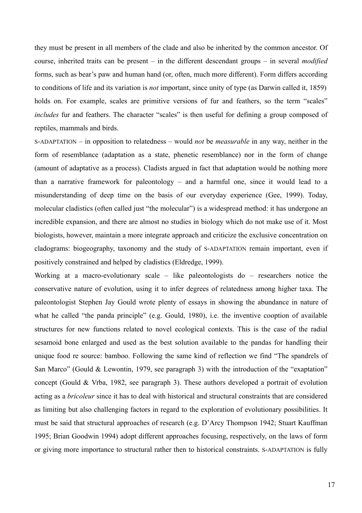they must be present in all members of the clade and also be inherited by the common ancestor. Of course, inherited traits can be present – in the different descendant groups – in several *modified* forms, such as bear's paw and human hand (or, often, much more different). Form differs according to conditions of life and its variation is *not* important, since unity of type (as Darwin called it, 1859) holds on. For example, scales are primitive versions of fur and feathers, so the term "scales" *includes* fur and feathers. The character "scales" is then useful for defining a group composed of reptiles, mammals and birds.

S-ADAPTATION – in opposition to relatedness – would *not* be *measurable* in any way, neither in the form of resemblance (adaptation as a state, phenetic resemblance) nor in the form of change (amount of adaptative as a process). Cladists argued in fact that adaptation would be nothing more than a narrative framework for paleontology – and a harmful one, since it would lead to a misunderstanding of deep time on the basis of our everyday experience (Gee, 1999). Today, molecular cladistics (often called just "the molecular") is a widespread method: it has undergone an incredible expansion, and there are almost no studies in biology which do not make use of it. Most biologists, however, maintain a more integrate approach and criticize the exclusive concentration on cladograms: biogeography, taxonomy and the study of S-ADAPTATION remain important, even if positively constrained and helped by cladistics (Eldredge, 1999).

Working at a macro-evolutionary scale – like paleontologists do – researchers notice the conservative nature of evolution, using it to infer degrees of relatedness among higher taxa. The paleontologist Stephen Jay Gould wrote plenty of essays in showing the abundance in nature of what he called "the panda principle" (e.g. Gould, 1980), i.e. the inventive cooption of available structures for new functions related to novel ecological contexts. This is the case of the radial sesamoid bone enlarged and used as the best solution available to the pandas for handling their unique food re source: bamboo. Following the same kind of reflection we find "The spandrels of San Marco" (Gould & Lewontin, 1979, see paragraph 3) with the introduction of the "exaptation" concept (Gould & Vrba, 1982, see paragraph 3). These authors developed a portrait of evolution acting as a *bricoleur* since it has to deal with historical and structural constraints that are considered as limiting but also challenging factors in regard to the exploration of evolutionary possibilities. It must be said that structural approaches of research (e.g. D'Arcy Thompson 1942; Stuart Kauffman 1995; Brian Goodwin 1994) adopt different approaches focusing, respectively, on the laws of form or giving more importance to structural rather then to historical constraints. S-ADAPTATION is fully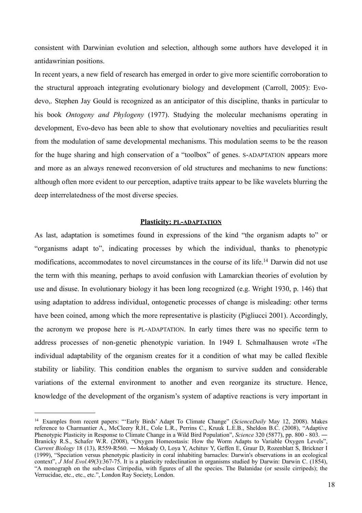consistent with Darwinian evolution and selection, although some authors have developed it in antidawrinian positions.

In recent years, a new field of research has emerged in order to give more scientific corroboration to the structural approach integrating evolutionary biology and development (Carroll, 2005): Evodevo,. Stephen Jay Gould is recognized as an anticipator of this discipline, thanks in particular to his book *Ontogeny and Phylogeny* (1977). Studying the molecular mechanisms operating in development, Evo-devo has been able to show that evolutionary novelties and peculiarities result from the modulation of same developmental mechanisms. This modulation seems to be the reason for the huge sharing and high conservation of a "toolbox" of genes. S-ADAPTATION appears more and more as an always renewed reconversion of old structures and mechanims to new functions: although often more evident to our perception, adaptive traits appear to be like wavelets blurring the deep interrelatedness of the most diverse species.

#### **Plasticity: PL-ADAPTATION**

As last, adaptation is sometimes found in expressions of the kind "the organism adapts to" or "organisms adapt to", indicating processes by which the individual, thanks to phenotypic modifications, accommodates to novel circumstances in the course of its life.[14](#page-17-0) Darwin did not use the term with this meaning, perhaps to avoid confusion with Lamarckian theories of evolution by use and disuse. In evolutionary biology it has been long recognized (e.g. Wright 1930, p. 146) that using adaptation to address individual, ontogenetic processes of change is misleading: other terms have been coined, among which the more representative is plasticity (Pigliucci 2001). Accordingly, the acronym we propose here is PL-ADAPTATION. In early times there was no specific term to address processes of non-genetic phenotypic variation. In 1949 I. Schmalhausen wrote «The individual adaptability of the organism creates for it a condition of what may be called flexible stability or liability. This condition enables the organism to survive sudden and considerable variations of the external environment to another and even reorganize its structure. Hence, knowledge of the development of the organism's system of adaptive reactions is very important in

<span id="page-17-0"></span><sup>14</sup> Examples from recent papers: "'Early Birds' Adapt To Climate Change" (*ScienceDaily* May 12, 2008). Makes reference to Charmantier A., McCleery R.H., Cole L.R., Perrins C., Kruuk L.E.B., Sheldon B.C. (2008), "Adaptive Phenotypic Plasticity in Response to Climate Change in a Wild Bird Population", *Science* 320 (5877), pp. 800 - 803. ― Branicky R.S., Schafer W.R. (2008), "Oxygen Homeostasis: How the Worm Adapts to Variable Oxygen Levels", *Current Biology* 18 (13), R559-R560. ― Mokady O, Loya Y, Achituv Y, Geffen E, Graur D, Rozenblatt S, Brickner I (1999), "Speciation versus phenotypic plasticity in coral inhabiting barnacles: Darwin's observations in an ecological context", *J Mol Evol.*49(3):367-75. It is a plasticity redeclination in organisms studied by Darwin: Darwin C. (1854), "A monograph on the sub-class Cirripedia, with figures of all the species. The Balanidae (or sessile cirripeds); the Verrucidae, etc., etc., etc.", London Ray Society, London.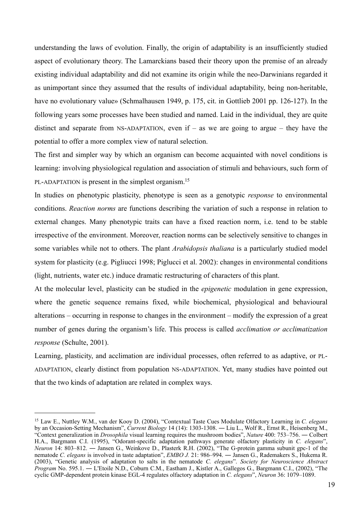understanding the laws of evolution. Finally, the origin of adaptability is an insufficiently studied aspect of evolutionary theory. The Lamarckians based their theory upon the premise of an already existing individual adaptability and did not examine its origin while the neo-Darwinians regarded it as unimportant since they assumed that the results of individual adaptability, being non-heritable, have no evolutionary value» (Schmalhausen 1949, p. 175, cit. in Gottlieb 2001 pp. 126-127). In the following years some processes have been studied and named. Laid in the individual, they are quite distinct and separate from NS-ADAPTATION, even if – as we are going to argue – they have the potential to offer a more complex view of natural selection.

The first and simpler way by which an organism can become acquainted with novel conditions is learning: involving physiological regulation and association of stimuli and behaviours, such form of PL-ADAPTATION is present in the simplest organism.<sup>[15](#page-18-0)</sup>

In studies on phenotypic plasticity, phenotype is seen as a genotypic *response* to environmental conditions. *Reaction norms* are functions describing the variation of such a response in relation to external changes. Many phenotypic traits can have a fixed reaction norm, i.e. tend to be stable irrespective of the environment. Moreover, reaction norms can be selectively sensitive to changes in some variables while not to others. The plant *Arabidopsis thaliana* is a particularly studied model system for plasticity (e.g. Pigliucci 1998; Piglucci et al. 2002): changes in environmental conditions (light, nutrients, water etc.) induce dramatic restructuring of characters of this plant.

At the molecular level, plasticity can be studied in the *epigenetic* modulation in gene expression, where the genetic sequence remains fixed, while biochemical, physiological and behavioural alterations – occurring in response to changes in the environment – modify the expression of a great number of genes during the organism's life. This process is called *acclimation or acclimatization response* (Schulte, 2001).

Learning, plasticity, and acclimation are individual processes, often referred to as adaptive, or PL-ADAPTATION, clearly distinct from population NS-ADAPTATION. Yet, many studies have pointed out that the two kinds of adaptation are related in complex ways.

<span id="page-18-0"></span><sup>15</sup> Law E., Nuttley W.M., van der Kooy D. (2004), "Contextual Taste Cues Modulate Olfactory Learning in *C. elegans* by an Occasion-Setting Mechanism", *Current Biology* 14 (14): 1303-1308. ― Liu L., Wolf R., Ernst R., Heisenberg M., "Context generalization in *Drosophila* visual learning requires the mushroom bodies", *Nature* 400: 753–756. ― Colbert H.A., Bargmann C.I. (1995), "Odorant-specific adaptation pathways generate olfactory plasticity in *C. elegans*", *Neuron* 14: 803–812. ― Jansen G., Weinkove D., Plasterk R.H. (2002), "The G-protein gamma subunit gpc-1 of the nematode *C. elegans* is involved in taste adaptation", *EMBO J.* 21: 986–994. ― Jansen G., Rademakers S., Hukema R. (2003), "Genetic analysis of adaptation to salts in the nematode *C. elegans*". *Society for Neuroscience Abstract Program* No. 595.1. ― L'Etoile N.D., Coburn C.M., Eastham J., Kistler A., Gallegos G., Bargmann C.I., (2002), "The cyclic GMP-dependent protein kinase EGL-4 regulates olfactory adaptation in *C. elegans*", *Neuron* 36: 1079–1089.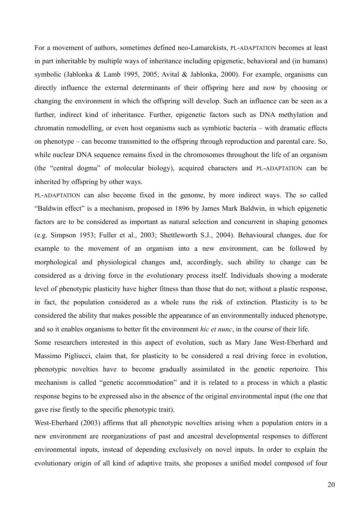For a movement of authors, sometimes defined neo-Lamarckists, PL-ADAPTATION becomes at least in part inheritable by multiple ways of inheritance including epigenetic, behavioral and (in humans) symbolic (Jablonka & Lamb 1995, 2005; Avital & Jablonka, 2000). For example, organisms can directly influence the external determinants of their offspring here and now by choosing or changing the environment in which the offspring will develop. Such an influence can be seen as a further, indirect kind of inheritance. Further, epigenetic factors such as DNA methylation and chromatin remodelling, or even host organisms such as symbiotic bacteria – with dramatic effects on phenotype – can become transmitted to the offspring through reproduction and parental care. So, while nuclear DNA sequence remains fixed in the chromosomes throughout the life of an organism (the "central dogma" of molecular biology), acquired characters and PL-ADAPTATION can be inherited by offspring by other ways.

PL-ADAPTATION can also become fixed in the genome, by more indirect ways. The so called "Baldwin effect" is a mechanism, proposed in 1896 by James Mark Baldwin, in which epigenetic factors are to be considered as important as natural selection and concurrent in shaping genomes (e.g. Simpson 1953; Fuller et al., 2003; Shettleworth S.J., 2004). Behavioural changes, due for example to the movement of an organism into a new environment, can be followed by morphological and physiological changes and, accordingly, such ability to change can be considered as a driving force in the evolutionary process itself. Individuals showing a moderate level of phenotypic plasticity have higher fitness than those that do not; without a plastic response, in fact, the population considered as a whole runs the risk of extinction. Plasticity is to be considered the ability that makes possible the appearance of an environmentally induced phenotype, and so it enables organisms to better fit the environment *hic et nunc*, in the course of their life.

Some researchers interested in this aspect of evolution, such as Mary Jane West-Eberhard and Massimo Pigliucci, claim that, for plasticity to be considered a real driving force in evolution, phenotypic novelties have to become gradually assimilated in the genetic repertoire. This mechanism is called "genetic accommodation" and it is related to a process in which a plastic response begins to be expressed also in the absence of the original environmental input (the one that gave rise firstly to the specific phenotypic trait).

West-Eberhard (2003) affirms that all phenotypic novelties arising when a population enters in a new environment are reorganizations of past and ancestral developmental responses to different environmental inputs, instead of depending exclusively on novel inputs. In order to explain the evolutionary origin of all kind of adaptive traits, she proposes a unified model composed of four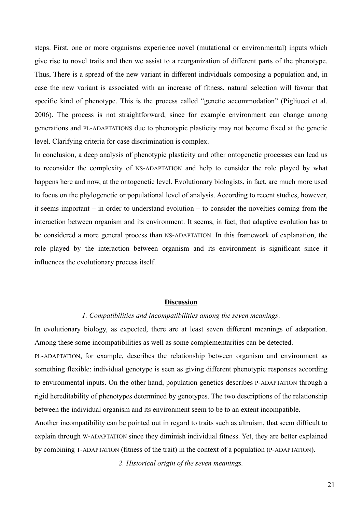steps. First, one or more organisms experience novel (mutational or environmental) inputs which give rise to novel traits and then we assist to a reorganization of different parts of the phenotype. Thus, There is a spread of the new variant in different individuals composing a population and, in case the new variant is associated with an increase of fitness, natural selection will favour that specific kind of phenotype. This is the process called "genetic accommodation" (Pigliucci et al. 2006). The process is not straightforward, since for example environment can change among generations and PL-ADAPTATIONS due to phenotypic plasticity may not become fixed at the genetic level. Clarifying criteria for case discrimination is complex.

In conclusion, a deep analysis of phenotypic plasticity and other ontogenetic processes can lead us to reconsider the complexity of NS-ADAPTATION and help to consider the role played by what happens here and now, at the ontogenetic level. Evolutionary biologists, in fact, are much more used to focus on the phylogenetic or populational level of analysis. According to recent studies, however, it seems important – in order to understand evolution – to consider the novelties coming from the interaction between organism and its environment. It seems, in fact, that adaptive evolution has to be considered a more general process than NS-ADAPTATION. In this framework of explanation, the role played by the interaction between organism and its environment is significant since it influences the evolutionary process itself.

#### **Discussion**

#### *1. Compatibilities and incompatibilities among the seven meanings*.

In evolutionary biology, as expected, there are at least seven different meanings of adaptation. Among these some incompatibilities as well as some complementarities can be detected.

PL-ADAPTATION, for example, describes the relationship between organism and environment as something flexible: individual genotype is seen as giving different phenotypic responses according to environmental inputs. On the other hand, population genetics describes P-ADAPTATION through a rigid hereditability of phenotypes determined by genotypes. The two descriptions of the relationship between the individual organism and its environment seem to be to an extent incompatible.

Another incompatibility can be pointed out in regard to traits such as altruism, that seem difficult to explain through W-ADAPTATION since they diminish individual fitness. Yet, they are better explained by combining T-ADAPTATION (fitness of the trait) in the context of a population (P-ADAPTATION).

*2. Historical origin of the seven meanings.*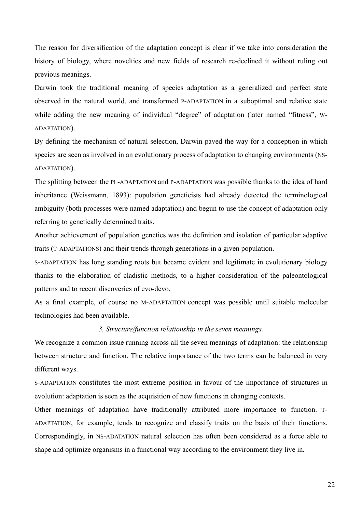The reason for diversification of the adaptation concept is clear if we take into consideration the history of biology, where novelties and new fields of research re-declined it without ruling out previous meanings.

Darwin took the traditional meaning of species adaptation as a generalized and perfect state observed in the natural world, and transformed P-ADAPTATION in a suboptimal and relative state while adding the new meaning of individual "degree" of adaptation (later named "fitness", w-ADAPTATION).

By defining the mechanism of natural selection, Darwin paved the way for a conception in which species are seen as involved in an evolutionary process of adaptation to changing environments (NS-ADAPTATION).

The splitting between the PL-ADAPTATION and P-ADAPTATION was possible thanks to the idea of hard inheritance (Weissmann, 1893): population geneticists had already detected the terminological ambiguity (both processes were named adaptation) and begun to use the concept of adaptation only referring to genetically determined traits.

Another achievement of population genetics was the definition and isolation of particular adaptive traits (T-ADAPTATIONS) and their trends through generations in a given population.

S-ADAPTATION has long standing roots but became evident and legitimate in evolutionary biology thanks to the elaboration of cladistic methods, to a higher consideration of the paleontological patterns and to recent discoveries of evo-devo.

As a final example, of course no M-ADAPTATION concept was possible until suitable molecular technologies had been available.

#### *3. Structure/function relationship in the seven meanings.*

We recognize a common issue running across all the seven meanings of adaptation: the relationship between structure and function. The relative importance of the two terms can be balanced in very different ways.

S-ADAPTATION constitutes the most extreme position in favour of the importance of structures in evolution: adaptation is seen as the acquisition of new functions in changing contexts.

Other meanings of adaptation have traditionally attributed more importance to function. T-ADAPTATION, for example, tends to recognize and classify traits on the basis of their functions. Correspondingly, in NS-ADATATION natural selection has often been considered as a force able to shape and optimize organisms in a functional way according to the environment they live in.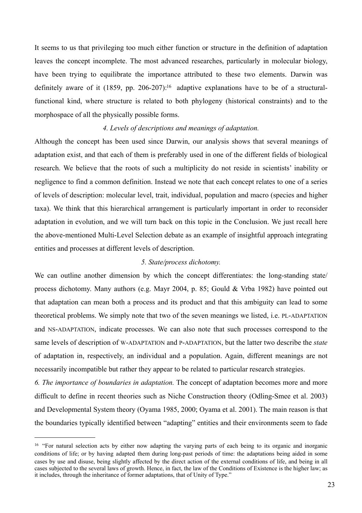It seems to us that privileging too much either function or structure in the definition of adaptation leaves the concept incomplete. The most advanced researches, particularly in molecular biology, have been trying to equilibrate the importance attributed to these two elements. Darwin was definitely aware of it  $(1859, pp. 206-207)$ <sup>[16](#page-22-0)</sup> adaptive explanations have to be of a structuralfunctional kind, where structure is related to both phylogeny (historical constraints) and to the morphospace of all the physically possible forms.

### *4. Levels of descriptions and meanings of adaptation.*

Although the concept has been used since Darwin, our analysis shows that several meanings of adaptation exist, and that each of them is preferably used in one of the different fields of biological research. We believe that the roots of such a multiplicity do not reside in scientists' inability or negligence to find a common definition. Instead we note that each concept relates to one of a series of levels of description: molecular level, trait, individual, population and macro (species and higher taxa). We think that this hierarchical arrangement is particularly important in order to reconsider adaptation in evolution, and we will turn back on this topic in the Conclusion. We just recall here the above-mentioned Multi-Level Selection debate as an example of insightful approach integrating entities and processes at different levels of description.

### *5. State/process dichotomy.*

We can outline another dimension by which the concept differentiates: the long-standing state/ process dichotomy. Many authors (e.g. Mayr 2004, p. 85; Gould & Vrba 1982) have pointed out that adaptation can mean both a process and its product and that this ambiguity can lead to some theoretical problems. We simply note that two of the seven meanings we listed, i.e. PL-ADAPTATION and NS-ADAPTATION, indicate processes. We can also note that such processes correspond to the same levels of description of W-ADAPTATION and P-ADAPTATION, but the latter two describe the *state* of adaptation in, respectively, an individual and a population. Again, different meanings are not necessarily incompatible but rather they appear to be related to particular research strategies.

*6. The importance of boundaries in adaptation.* The concept of adaptation becomes more and more difficult to define in recent theories such as Niche Construction theory (Odling-Smee et al. 2003) and Developmental System theory (Oyama 1985, 2000; Oyama et al. 2001). The main reason is that the boundaries typically identified between "adapting" entities and their environments seem to fade

<span id="page-22-0"></span><sup>&</sup>lt;sup>16</sup> "For natural selection acts by either now adapting the varying parts of each being to its organic and inorganic conditions of life; or by having adapted them during long-past periods of time: the adaptations being aided in some cases by use and disuse, being slightly affected by the direct action of the external conditions of life, and being in all cases subjected to the several laws of growth. Hence, in fact, the law of the Conditions of Existence is the higher law; as it includes, through the inheritance of former adaptations, that of Unity of Type."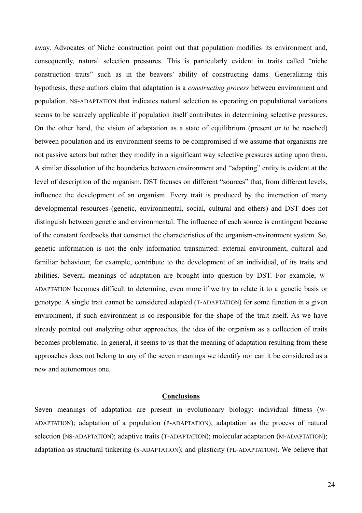away. Advocates of Niche construction point out that population modifies its environment and, consequently, natural selection pressures. This is particularly evident in traits called "niche construction traits" such as in the beavers' ability of constructing dams. Generalizing this hypothesis, these authors claim that adaptation is a *constructing process* between environment and population. NS-ADAPTATION that indicates natural selection as operating on populational variations seems to be scarcely applicable if population itself contributes in determining selective pressures. On the other hand, the vision of adaptation as a state of equilibrium (present or to be reached) between population and its environment seems to be compromised if we assume that organisms are not passive actors but rather they modify in a significant way selective pressures acting upon them. A similar dissolution of the boundaries between environment and "adapting" entity is evident at the level of description of the organism. DST focuses on different "sources" that, from different levels, influence the development of an organism. Every trait is produced by the interaction of many developmental resources (genetic, environmental, social, cultural and others) and DST does not distinguish between genetic and environmental. The influence of each source is contingent because of the constant feedbacks that construct the characteristics of the organism-environment system. So, genetic information is not the only information transmitted: external environment, cultural and familiar behaviour, for example, contribute to the development of an individual, of its traits and abilities. Several meanings of adaptation are brought into question by DST. For example, W-ADAPTATION becomes difficult to determine, even more if we try to relate it to a genetic basis or genotype. A single trait cannot be considered adapted (T-ADAPTATION) for some function in a given environment, if such environment is co-responsible for the shape of the trait itself. As we have already pointed out analyzing other approaches, the idea of the organism as a collection of traits becomes problematic. In general, it seems to us that the meaning of adaptation resulting from these approaches does not belong to any of the seven meanings we identify nor can it be considered as a new and autonomous one.

#### **Conclusions**

Seven meanings of adaptation are present in evolutionary biology: individual fitness (W-ADAPTATION); adaptation of a population (P-ADAPTATION); adaptation as the process of natural selection (NS-ADAPTATION); adaptive traits (T-ADAPTATION); molecular adaptation (M-ADAPTATION); adaptation as structural tinkering (S-ADAPTATION); and plasticity (PL-ADAPTATION). We believe that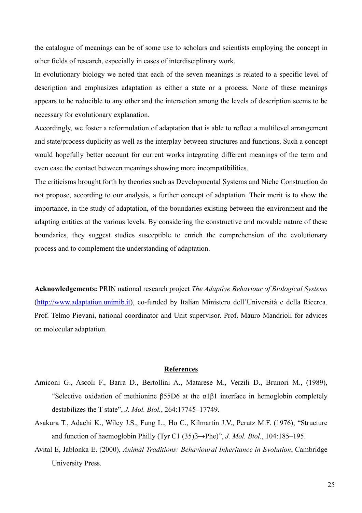the catalogue of meanings can be of some use to scholars and scientists employing the concept in other fields of research, especially in cases of interdisciplinary work.

In evolutionary biology we noted that each of the seven meanings is related to a specific level of description and emphasizes adaptation as either a state or a process. None of these meanings appears to be reducible to any other and the interaction among the levels of description seems to be necessary for evolutionary explanation.

Accordingly, we foster a reformulation of adaptation that is able to reflect a multilevel arrangement and state/process duplicity as well as the interplay between structures and functions. Such a concept would hopefully better account for current works integrating different meanings of the term and even ease the contact between meanings showing more incompatibilities.

The criticisms brought forth by theories such as Developmental Systems and Niche Construction do not propose, according to our analysis, a further concept of adaptation. Their merit is to show the importance, in the study of adaptation, of the boundaries existing between the environment and the adapting entities at the various levels. By considering the constructive and movable nature of these boundaries, they suggest studies susceptible to enrich the comprehension of the evolutionary process and to complement the understanding of adaptation.

**Acknowledgements:** PRIN national research project *The Adaptive Behaviour of Biological Systems* (<http://www.adaptation.unimib.it>), co-funded by Italian Ministero dell'Università e della Ricerca. Prof. Telmo Pievani, national coordinator and Unit supervisor. Prof. Mauro Mandrioli for advices on molecular adaptation.

#### **References**

- Amiconi G., Ascoli F., Barra D., Bertollini A., Matarese M., Verzili D., Brunori M., (1989), "Selective oxidation of methionine  $\beta$ 55D6 at the  $\alpha$ 1 $\beta$ 1 interface in hemoglobin completely destabilizes the T state", *J. Mol. Biol.*, 264:17745–17749.
- Asakura T., Adachi K., Wiley J.S., Fung L., Ho C., Kilmartin J.V., Perutz M.F. (1976), "Structure and function of haemoglobin Philly (Tyr C1 (35)β→Phe)", *J. Mol. Biol.*, 104:185–195.
- Avital E, Jablonka E. (2000), *Animal Traditions: Behavioural Inheritance in Evolution*, Cambridge University Press.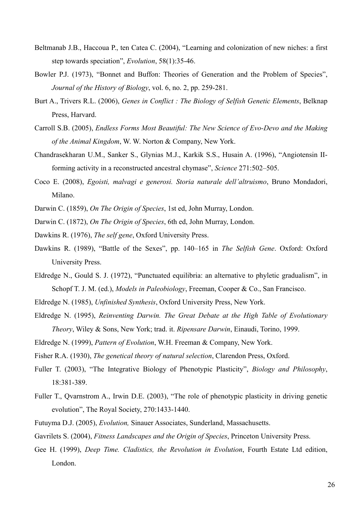- Beltmanab J.B., Haccoua P., ten Catea C. (2004), "Learning and colonization of new niches: a first step towards speciation", *Evolution*, 58(1):35-46.
- Bowler P.J. (1973), "Bonnet and Buffon: Theories of Generation and the Problem of Species", *Journal of the History of Biology*, vol. 6, no. 2, pp. 259-281.
- Burt A., Trivers R.L. (2006), *Genes in Conflict : The Biology of Selfish Genetic Elements*, Belknap Press, Harvard.
- Carroll S.B. (2005), *Endless Forms Most Beautiful: The New Science of Evo-Devo and the Making of the Animal Kingdom*, W. W. Norton & Company, New York.
- Chandrasekharan U.M., Sanker S., Glynias M.J., Karkik S.S., Husain A. (1996), "Angiotensin IIforming activity in a reconstructed ancestral chymase", *Science* 271:502–505.
- Coco E. (2008), *Egoisti, malvagi e generosi. Storia naturale dell'altruismo*, Bruno Mondadori, Milano.
- Darwin C. (1859), *On The Origin of Species*, 1st ed, John Murray, London.
- Darwin C. (1872), *On The Origin of Species*, 6th ed, John Murray, London.

Dawkins R. (1976), *The self gene*, [Oxford University Press](http://en.wikipedia.org/wiki/Oxford_University_Press).

- Dawkins R. (1989), "Battle of the Sexes", pp. 140–165 in *The Selfish Gene*. Oxford: Oxford University Press.
- Eldredge N., Gould S. J. (1972), "Punctuated equilibria: an alternative to phyletic gradualism", in Schopf T. J. M. (ed.), *Models in Paleobiology*, Freeman, Cooper & Co., San Francisco.
- Eldredge N. (1985), *Unfinished Synthesis*, Oxford University Press, New York.
- Eldredge N. (1995), *Reinventing Darwin. The Great Debate at the High Table of Evolutionary Theory*, Wiley & Sons, New York; trad. it. *Ripensare Darwin*, Einaudi, Torino, 1999.
- Eldredge N. (1999), *Pattern of Evolution*, W.H. Freeman & Company, New York.

Fisher R.A. (1930), *The genetical theory of natural selection*, Clarendon Press, Oxford.

- Fuller T. (2003), "The Integrative Biology of Phenotypic Plasticity", *Biology and Philosophy*, 18:381-389.
- Fuller T., Qvarnstrom A., Irwin D.E. (2003), "The role of phenotypic plasticity in driving genetic evolution", The Royal Society, 270:1433-1440.
- Futuyma D.J. (2005), *Evolution,* Sinauer Associates, Sunderland, Massachusetts.
- Gavrilets S. (2004), *Fitness Landscapes and the Origin of Species*, Princeton University Press.
- Gee H. (1999), *Deep Time. Cladistics, the Revolution in Evolution*, Fourth Estate Ltd edition, London.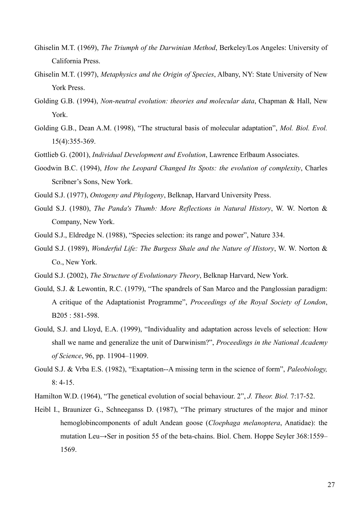- Ghiselin M.T. (1969), *The Triumph of the Darwinian Method*, Berkeley/Los Angeles: University of California Press.
- Ghiselin M.T. (1997), *Metaphysics and the Origin of Species*, Albany, NY: State University of New York Press.
- Golding G.B. (1994), *Non-neutral evolution: theories and molecular data*, Chapman & Hall, New York.
- Golding G.B., Dean A.M. (1998), "The structural basis of molecular adaptation", *Mol. Biol. Evol.* 15(4):355-369.
- Gottlieb G. (2001), *Individual Development and Evolution*, Lawrence Erlbaum Associates.
- Goodwin B.C. (1994), *How the Leopard Changed Its Spots: the evolution of complexity*, Charles Scribner's Sons, New York.
- Gould S.J. (1977), *Ontogeny and Phylogeny*, Belknap, Harvard University Press.
- Gould S.J. (1980), *The Panda's Thumb: More Reflections in Natural History*, W. W. Norton & Company, New York.
- Gould S.J., Eldredge N. (1988), "Species selection: its range and power", Nature 334.
- Gould S.J. (1989), *Wonderful Life: The Burgess Shale and the Nature of History*, W. W. Norton & Co., New York.
- Gould S.J. (2002), *The Structure of Evolutionary Theory*, Belknap Harvard, New York.
- Gould, S.J. & Lewontin, R.C. (1979), "The spandrels of San Marco and the Panglossian paradigm: A critique of the Adaptationist Programme", *Proceedings of the Royal Society of London*, B205 : 581-598.
- Gould, S.J. and Lloyd, E.A. (1999), "Individuality and adaptation across levels of selection: How shall we name and generalize the unit of Darwinism?", *Proceedings in the National Academy of Science*, 96, pp. 11904–11909.
- Gould S.J. & Vrba E.S. (1982), "Exaptation--A missing term in the science of form", *Paleobiology,* 8: 4-15.
- Hamilton W.D. (1964), "The genetical evolution of social behaviour. 2", *J. Theor. Biol.* 7:17-52.
- Heibl I., Braunizer G., Schneeganss D. (1987), "The primary structures of the major and minor hemoglobincomponents of adult Andean goose (*Cloephaga melanoptera*, Anatidae): the mutation Leu→Ser in position 55 of the beta-chains. Biol. Chem. Hoppe Seyler 368:1559– 1569.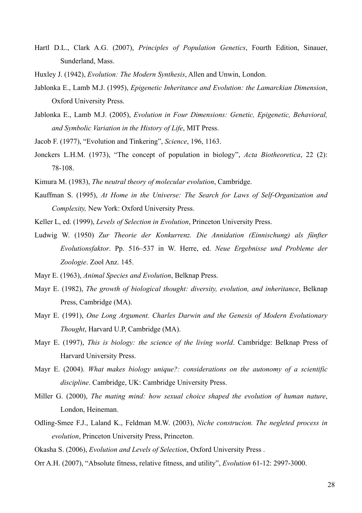- Hartl D.L., Clark A.G. (2007), *Principles of Population Genetics*, Fourth Edition, Sinauer, Sunderland, Mass.
- Huxley J. (1942), *Evolution: The Modern Synthesis*, Allen and Unwin, London.
- Jablonka E., Lamb M.J. (1995), *Epigenetic Inheritance and Evolution: the Lamarckian Dimension*, Oxford University Press.
- Jablonka E., Lamb M.J. (2005), *Evolution in Four Dimensions: Genetic, Epigenetic, Behavioral, and Symbolic Variation in the History of Life*, MIT Press.
- Jacob F. (1977), "Evolution and Tinkering", *Science*, 196, 1163.
- Jonckers L.H.M. (1973), "The concept of population in biology", *Acta Biotheoretica*, 22 (2): 78-108.
- Kimura M. (1983), *The neutral theory of molecular evolution*, Cambridge.
- Kauffman S. (1995), *At Home in the Universe: The Search for Laws of Self-Organization and Complexity,* New York: Oxford University Press.
- Keller L, ed. (1999), *Levels of Selection in Evolution*, Princeton University Press.
- Ludwig W. (1950) *Zur Theorie der Konkurrenz. Die Annidation (Einnischung) als fünfter Evolutionsfaktor*. Pp. 516–537 in W. Herre, ed. *Neue Ergebnisse und Probleme der Zoologie*. Zool Anz. 145.
- Mayr E. (1963), *Animal Species and Evolution*, Belknap Press.
- Mayr E. (1982), *The growth of biological thought: diversity, evolution, and inheritance*, Belknap Press, Cambridge (MA).
- Mayr E. (1991), *One Long Argument. Charles Darwin and the Genesis of Modern Evolutionary Thought*, Harvard U.P, Cambridge (MA).
- Mayr E. (1997), *This is biology: the science of the living world*. Cambridge: Belknap Press of Harvard University Press.
- Mayr E. (2004). *What makes biology unique?: considerations on the autonomy of a scientific discipline*. Cambridge, UK: Cambridge University Press.
- Miller G. (2000), *The mating mind: how sexual choice shaped the evolution of human nature*, London, Heineman.
- Odling-Smee F.J., Laland K., Feldman M.W. (2003), *Niche construcion. The negleted process in evolution*, Princeton University Press, Princeton.
- Okasha S. (2006), *Evolution and Levels of Selection*, Oxford University Press .
- Orr A.H. (2007), "Absolute fitness, relative fitness, and utility", *Evolution* 61-12: 2997-3000.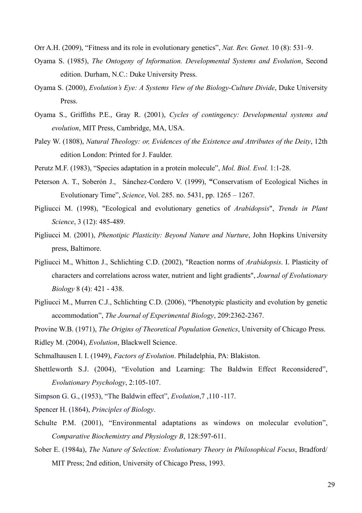Orr A.H. (2009), "Fitness and its role in evolutionary genetics", *Nat. Rev. Genet.* 10 (8): 531–9.

- Oyama S. (1985), *The Ontogeny of Information. Developmental Systems and Evolution*, Second edition. Durham, N.C.: Duke University Press.
- Oyama S. (2000), *Evolution's Eye: A Systems View of the Biology-Culture Divide*, Duke University Press.
- Oyama S., Griffiths P.E., Gray R. (2001), *Cycles of contingency: Developmental systems and evolution*, MIT Press, Cambridge, MA, USA.
- Paley W. (1808), *Natural Theology: or, Evidences of the Existence and Attributes of the Deity*, 12th edition London: Printed for J. Faulder.
- Perutz M.F. (1983), "Species adaptation in a protein molecule", *Mol. Biol. Evol.* 1:1-28.
- Peterson A. T., Soberón J., Sánchez-Cordero V. (1999), **"**Conservatism of Ecological Niches in Evolutionary Time", *Science*, Vol. 285. no. 5431, pp. 1265 – 1267.
- Pigliucci M. (1998), "Ecological and evolutionary genetics of *Arabidopsis*", *Trends in Plant Science*, 3 (12): 485-489.
- Pigliucci M. (2001), *Phenotipic Plasticity: Beyond Nature and Nurture*, John Hopkins University press, Baltimore.
- Pigliucci M., Whitton J., Schlichting C.D. (2002), "Reaction norms of *Arabidopsis*. I. Plasticity of characters and correlations across water, nutrient and light gradients", *Journal of Evolutionary Biology* 8 (4): 421 - 438.
- Pigliucci M., Murren C.J., Schlichting C.D. (2006), "Phenotypic plasticity and evolution by genetic accommodation", *The Journal of Experimental Biology*, 209:2362-2367.
- Provine W.B. (1971), *The Origins of Theoretical Population Genetics*, University of Chicago Press.
- Ridley M. (2004), *Evolution*, Blackwell Science.
- Schmalhausen I. I. (1949), *Factors of Evolution*. Philadelphia, PA: Blakiston.
- Shettleworth S.J. (2004), "Evolution and Learning: The Baldwin Effect Reconsidered", *Evolutionary Psychology*, 2:105-107.
- Simpson G. G., (1953), "The Baldwin effect", *Evolution*,7 ,110 -117.
- Spencer H. (1864), *Principles of Biology*.
- Schulte P.M. (2001), "Environmental adaptations as windows on molecular evolution", *Comparative Biochemistry and Physiology B*, 128:597-611.
- Sober E. (1984a), *The Nature of Selection: Evolutionary Theory in Philosophical Focus*, Bradford/ MIT Press; 2nd edition, University of Chicago Press, 1993.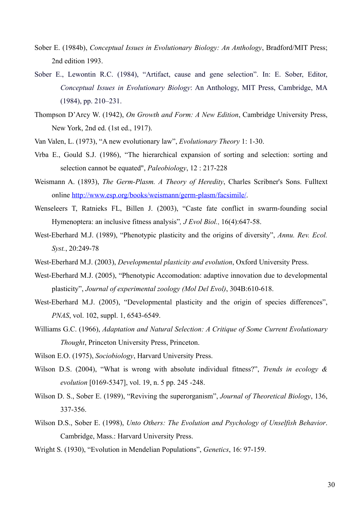- Sober E. (1984b), *Conceptual Issues in Evolutionary Biology: An Anthology*, Bradford/MIT Press; 2nd edition 1993.
- Sober E., Lewontin R.C. (1984), "Artifact, cause and gene selection". In: E. Sober, Editor, *Conceptual Issues in Evolutionary Biology*: An Anthology, MIT Press, Cambridge, MA (1984), pp. 210–231.
- Thompson D'Arcy W. (1942), *On Growth and Form: A New Edition*, Cambridge University Press, New York, 2nd ed. (1st ed., 1917).
- Van Valen, L. (1973), "A new evolutionary law", *Evolutionary Theory* 1: 1-30.
- Vrba E., Gould S.J. (1986), "The hierarchical expansion of sorting and selection: sorting and selection cannot be equated", *Paleobiology*, 12 : 217-228
- Weismann A. (1893), *The Germ-Plasm. A Theory of Heredity*, Charles Scribner's Sons. Fulltext online<http://www.esp.org/books/weismann/germ-plasm/facsimile/>.
- [Wenseleers T](http://www.ncbi.nlm.nih.gov/sites/entrez?Db=pubmed&Cmd=Search&Term=%22Wenseleers%20T%22%5BAuthor%5D&itool=EntrezSystem2.PEntrez.Pubmed.Pubmed_ResultsPanel.Pubmed_DiscoveryPanel.Pubmed_RVAbstractPlus), [Ratnieks FL](http://www.ncbi.nlm.nih.gov/sites/entrez?Db=pubmed&Cmd=Search&Term=%22Ratnieks%20FL%22%5BAuthor%5D&itool=EntrezSystem2.PEntrez.Pubmed.Pubmed_ResultsPanel.Pubmed_DiscoveryPanel.Pubmed_RVAbstractPlus), [Billen J](http://www.ncbi.nlm.nih.gov/sites/entrez?Db=pubmed&Cmd=Search&Term=%22Billen%20J%22%5BAuthor%5D&itool=EntrezSystem2.PEntrez.Pubmed.Pubmed_ResultsPanel.Pubmed_DiscoveryPanel.Pubmed_RVAbstractPlus). (2003), "Caste fate conflict in swarm-founding social Hymenoptera: an inclusive fitness analysis"*, J Evol Biol.*, 16(4):647-58.
- West-Eberhard M.J. (1989), "Phenotypic plasticity and the origins of diversity", *Annu. Rev. Ecol. Syst.*, 20:249-78
- West-Eberhard M.J. (2003), *Developmental plasticity and evolution*, Oxford University Press.
- West-Eberhard M.J. (2005), "Phenotypic Accomodation: adaptive innovation due to developmental plasticity", *Journal of experimental zoology (Mol Del Evol)*, 304B:610-618.
- West-Eberhard M.J. (2005), "Developmental plasticity and the origin of species differences", *PNAS*, vol. 102, suppl. 1, 6543-6549.
- Williams G.C. (1966), *Adaptation and Natural Selection: A Critique of Some Current Evolutionary Thought*, Princeton University Press, Princeton.
- Wilson E.O. (1975), *Sociobiology*, Harvard University Press.
- Wilson D.S. (2004), "What is wrong with absolute individual fitness?", *Trends in ecology & evolution* [0169-5347], vol. 19, n. 5 pp. 245 -248.
- Wilson D. S., Sober E. (1989), "Reviving the superorganism", *Journal of Theoretical Biology*, 136, 337-356.
- Wilson D.S., Sober E. (1998), *Unto Others: The Evolution and Psychology of Unselfish Behavior*. Cambridge, Mass.: Harvard University Press.
- Wright S. (1930), "Evolution in Mendelian Populations", *Genetics*, 16: 97-159.